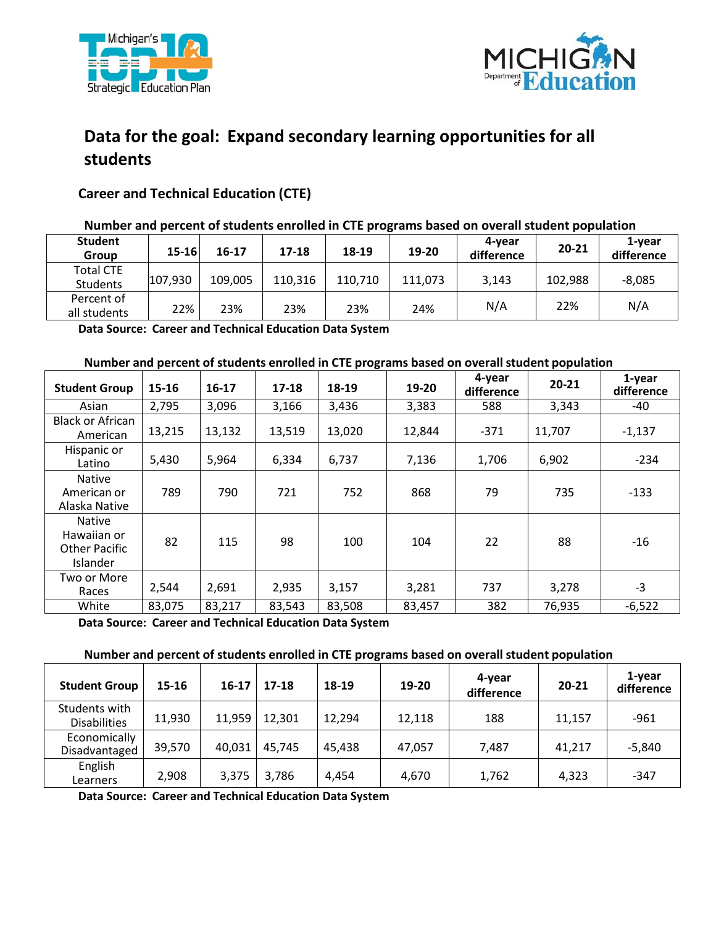



# **Data for the goal: Expand secondary learning opportunities for all students**

## **Career and Technical Education (CTE)**

### **Number and percent of students enrolled in CTE programs based on overall student population**

| <b>Student</b><br>Group      | $15 - 16$ | 16-17   | 17-18   | 18-19   | 19-20   | 4-year<br>difference | 20-21   | 1-vear<br>difference |
|------------------------------|-----------|---------|---------|---------|---------|----------------------|---------|----------------------|
| <b>Total CTE</b><br>Students | 107,930   | 109,005 | 110,316 | 110,710 | 111,073 | 3,143                | 102,988 | $-8,085$             |
| Percent of<br>all students   | 22%       | 23%     | 23%     | 23%     | 24%     | N/A                  | 22%     | N/A                  |

 **Data Source: Career and Technical Education Data System** 

#### **Number and percent of students enrolled in CTE programs based on overall student population**

| <b>Student Group</b>                                             | 15-16  | $16 - 17$ | $17 - 18$ | 18-19  | 19-20  | 4-year<br>difference | $20 - 21$ | 1-year<br>difference |
|------------------------------------------------------------------|--------|-----------|-----------|--------|--------|----------------------|-----------|----------------------|
| Asian                                                            | 2,795  | 3,096     | 3,166     | 3,436  | 3,383  | 588                  | 3,343     | -40                  |
| <b>Black or African</b><br>American                              | 13,215 | 13,132    | 13,519    | 13,020 | 12,844 | $-371$               | 11,707    | $-1,137$             |
| Hispanic or<br>Latino                                            | 5,430  | 5,964     | 6,334     | 6,737  | 7,136  | 1,706                | 6,902     | $-234$               |
| <b>Native</b><br>American or<br>Alaska Native                    | 789    | 790       | 721       | 752    | 868    | 79                   | 735       | $-133$               |
| <b>Native</b><br>Hawaiian or<br><b>Other Pacific</b><br>Islander | 82     | 115       | 98        | 100    | 104    | 22                   | 88        | $-16$                |
| Two or More<br>Races                                             | 2,544  | 2,691     | 2,935     | 3,157  | 3,281  | 737                  | 3,278     | $-3$                 |
| White                                                            | 83,075 | 83,217    | 83,543    | 83,508 | 83,457 | 382                  | 76,935    | $-6,522$             |

 **Data Source: Career and Technical Education Data System** 

#### **Number and percent of students enrolled in CTE programs based on overall student population**

| <b>Student Group</b>                 | 15-16  | $16-17$ | 17-18  | 18-19  | 19-20  | 4-year<br>difference | 20-21  | 1-year<br>difference |
|--------------------------------------|--------|---------|--------|--------|--------|----------------------|--------|----------------------|
| Students with<br><b>Disabilities</b> | 11,930 | 11,959  | 12,301 | 12,294 | 12,118 | 188                  | 11,157 | $-961$               |
| Economically<br>Disadvantaged        | 39,570 | 40,031  | 45,745 | 45,438 | 47,057 | 7.487                | 41,217 | $-5,840$             |
| English<br>Learners                  | 2,908  | 3,375   | 3,786  | 4,454  | 4,670  | 1,762                | 4,323  | $-347$               |

 **Data Source: Career and Technical Education Data System**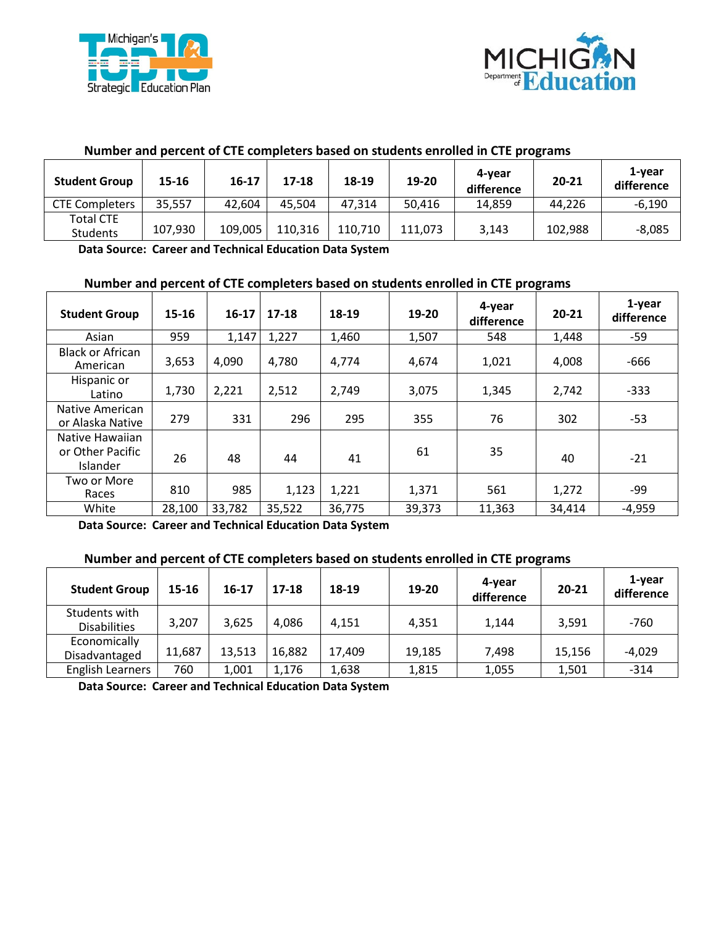



| <u>Number and percent of CTE completers based on students emoned in CTE programs</u> |         |           |         |         |         |                      |           |                      |  |
|--------------------------------------------------------------------------------------|---------|-----------|---------|---------|---------|----------------------|-----------|----------------------|--|
| <b>Student Group</b>                                                                 | 15-16   | $16 - 17$ | 17-18   | 18-19   | 19-20   | 4-vear<br>difference | $20 - 21$ | 1-vear<br>difference |  |
| <b>CTE Completers</b>                                                                | 35,557  | 42,604    | 45,504  | 47.314  | 50.416  | 14.859               | 44.226    | $-6,190$             |  |
| <b>Total CTE</b><br><b>Students</b>                                                  | 107,930 | 109,005   | 110,316 | 110,710 | 111,073 | 3.143                | 102,988   | $-8,085$             |  |

#### **Number and percent of CTE completers based on students enrolled in CTE programs**

 **Data Source: Career and Technical Education Data System** 

#### **Number and percent of CTE completers based on students enrolled in CTE programs**

| <b>Student Group</b>                            | $15 - 16$ | $16-17$ | $17 - 18$ | 18-19  | 19-20  | 4-year<br>difference | $20 - 21$ | 1-year<br>difference |
|-------------------------------------------------|-----------|---------|-----------|--------|--------|----------------------|-----------|----------------------|
| Asian                                           | 959       | 1,147   | 1,227     | 1,460  | 1,507  | 548                  | 1,448     | -59                  |
| <b>Black or African</b><br>American             | 3,653     | 4,090   | 4,780     | 4,774  | 4,674  | 1,021                | 4,008     | $-666$               |
| Hispanic or<br>Latino                           | 1,730     | 2,221   | 2,512     | 2,749  | 3,075  | 1,345                | 2,742     | $-333$               |
| Native American<br>or Alaska Native             | 279       | 331     | 296       | 295    | 355    | 76                   | 302       | -53                  |
| Native Hawaiian<br>or Other Pacific<br>Islander | 26        | 48      | 44        | 41     | 61     | 35                   | 40        | $-21$                |
| Two or More<br>Races                            | 810       | 985     | 1,123     | 1,221  | 1,371  | 561                  | 1,272     | -99                  |
| White                                           | 28,100    | 33,782  | 35,522    | 36,775 | 39,373 | 11,363               | 34,414    | $-4,959$             |

 **Data Source: Career and Technical Education Data System** 

#### **Number and percent of CTE completers based on students enrolled in CTE programs**

| <b>Student Group</b>                 | 15-16  | $16-17$ | $17 - 18$ | 18-19  | 19-20  | 4-year<br>difference | 20-21  | 1-year<br>difference |
|--------------------------------------|--------|---------|-----------|--------|--------|----------------------|--------|----------------------|
| Students with<br><b>Disabilities</b> | 3,207  | 3.625   | 4.086     | 4.151  | 4,351  | 1,144                | 3,591  | $-760$               |
| Economically<br>Disadvantaged        | 11,687 | 13,513  | 16,882    | 17,409 | 19,185 | 7,498                | 15,156 | $-4,029$             |
| <b>English Learners</b>              | 760    | 1,001   | 1,176     | 1,638  | 1,815  | 1,055                | 1,501  | $-314$               |

 **Data Source: Career and Technical Education Data System**